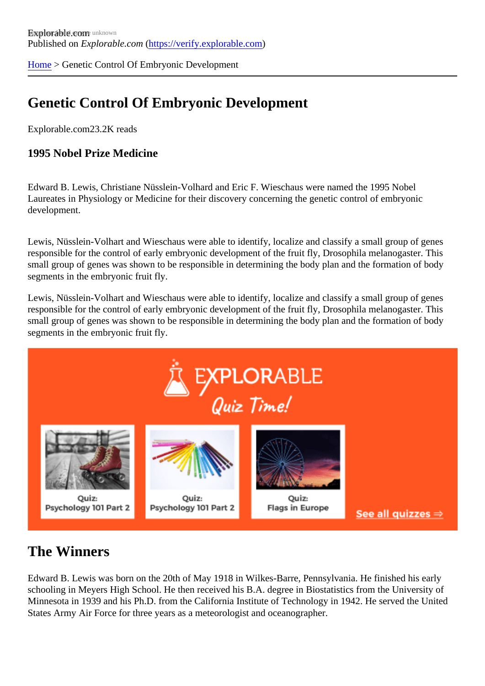[Home](https://verify.explorable.com/)> Genetic Control Of Embryonic Development

## Genetic Control Of Embryonic Development

Explorable.com23.2K reads

1995 Nobel Prize Medicine

Edward B. Lewis, Christiane Nüsslein-Volhard and Eric F. Wieschaus were named the 1995 Nobel Laureates in Physiology or Medicine for their discovery concerning the genetic control of embryonic development.

Lewis, Nüsslein-Volhart and Wieschaus were able to identify, localize and classify a small group of genes responsible for the control of early embryonic development of the fruit fly, Drosophila melanogaster. This small group of genes was shown to be responsible in determining the body plan and the formation of body segments in the embryonic fruit fly.

Lewis, Nüsslein-Volhart and Wieschaus were able to identify, localize and classify a small group of genes responsible for the control of early embryonic development of the fruit fly, Drosophila melanogaster. This small group of genes was shown to be responsible in determining the body plan and the formation of body segments in the embryonic fruit fly.

## The Winners

Edward B. Lewis was born on the 20th of May 1918 in Wilkes-Barre, Pennsylvania. He finished his early schooling in Meyers High School. He then received his B.A. degree in Biostatistics from the University of Minnesota in 1939 and his Ph.D. from the California Institute of Technology in 1942. He served the United States Army Air Force for three years as a meteorologist and oceanographer.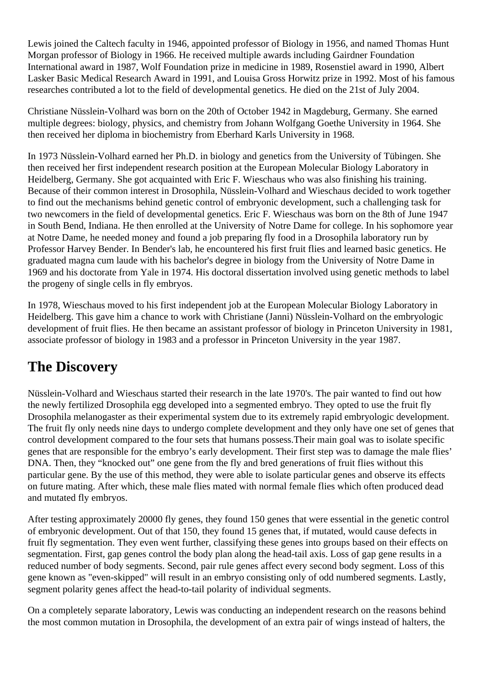Lewis joined the Caltech faculty in 1946, appointed professor of Biology in 1956, and named Thomas Hunt Morgan professor of Biology in 1966. He received multiple awards including Gairdner Foundation International award in 1987, Wolf Foundation prize in medicine in 1989, Rosenstiel award in 1990, Albert Lasker Basic Medical Research Award in 1991, and Louisa Gross Horwitz prize in 1992. Most of his famous researches contributed a lot to the field of developmental genetics. He died on the 21st of July 2004.

Christiane Nüsslein-Volhard was born on the 20th of October 1942 in Magdeburg, Germany. She earned multiple degrees: biology, physics, and chemistry from Johann Wolfgang Goethe University in 1964. She then received her diploma in biochemistry from Eberhard Karls University in 1968.

In 1973 Nüsslein-Volhard earned her Ph.D. in biology and genetics from the University of Tübingen. She then received her first independent research position at the European Molecular Biology Laboratory in Heidelberg, Germany. She got acquainted with Eric F. Wieschaus who was also finishing his training. Because of their common interest in Drosophila, Nüsslein-Volhard and Wieschaus decided to work together to find out the mechanisms behind genetic control of embryonic development, such a challenging task for two newcomers in the field of developmental genetics. Eric F. Wieschaus was born on the 8th of June 1947 in South Bend, Indiana. He then enrolled at the University of Notre Dame for college. In his sophomore year at Notre Dame, he needed money and found a job preparing fly food in a Drosophila laboratory run by Professor Harvey Bender. In Bender's lab, he encountered his first fruit flies and learned basic genetics. He graduated magna cum laude with his bachelor's degree in biology from the University of Notre Dame in 1969 and his doctorate from Yale in 1974. His doctoral dissertation involved using genetic methods to label the progeny of single cells in fly embryos.

In 1978, Wieschaus moved to his first independent job at the European Molecular Biology Laboratory in Heidelberg. This gave him a chance to work with Christiane (Janni) Nüsslein-Volhard on the embryologic development of fruit flies. He then became an assistant professor of biology in Princeton University in 1981, associate professor of biology in 1983 and a professor in Princeton University in the year 1987.

## **The Discovery**

Nüsslein-Volhard and Wieschaus started their research in the late 1970's. The pair wanted to find out how the newly fertilized Drosophila egg developed into a segmented embryo. They opted to use the fruit fly Drosophila melanogaster as their experimental system due to its extremely rapid embryologic development. The fruit fly only needs nine days to undergo complete development and they only have one set of genes that control development compared to the four sets that humans possess.Their main goal was to isolate specific genes that are responsible for the embryo's early development. Their first step was to damage the male flies' DNA. Then, they "knocked out" one gene from the fly and bred generations of fruit flies without this particular gene. By the use of this method, they were able to isolate particular genes and observe its effects on future mating. After which, these male flies mated with normal female flies which often produced dead and mutated fly embryos.

After testing approximately 20000 fly genes, they found 150 genes that were essential in the genetic control of embryonic development. Out of that 150, they found 15 genes that, if mutated, would cause defects in fruit fly segmentation. They even went further, classifying these genes into groups based on their effects on segmentation. First, gap genes control the body plan along the head-tail axis. Loss of gap gene results in a reduced number of body segments. Second, pair rule genes affect every second body segment. Loss of this gene known as "even-skipped" will result in an embryo consisting only of odd numbered segments. Lastly, segment polarity genes affect the head-to-tail polarity of individual segments.

On a completely separate laboratory, Lewis was conducting an independent research on the reasons behind the most common mutation in Drosophila, the development of an extra pair of wings instead of halters, the